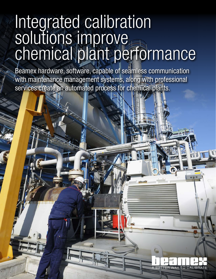# Integrated calibration solutions improve chemical plant performance

Beamex hardware, software, capable of seamless communication with maintenance management systems, along with professional services create an automated process for chemical plants.

**ER WAY TO CALIBRATE**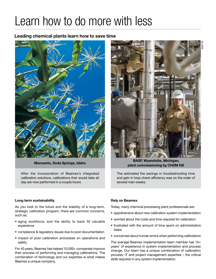## Learn how to do more with less

### Leading chemical plants learn how to save time



After the incorporation of Beamex's integrated calibration solutions, calibrations that would take all day are now performed in a couple hours.



 BASF, Wyandotte, Michigan, plant commissioning by CH2M Hill Monsanto, Soda Springs, Idaho

The estimated the savings in troubleshooting time and gain in loop check efficiency was on the order of several man-weeks.

#### Long term sustainability

As you look to the future and the stability of a long-term, strategic calibration program, there are common concerns, such as:

- aging workforce, and the ability to back fill valuable experience
- compliance & regulatory issues due to poor documentation
- impact of poor calibration processes on operations and safety

For 40 years, Beamex has helped 10,000+ companies improve their process of performing and managing calibrations. The combination of technology and our expertise is what makes Beamex a unique company.

#### Rely on Beamex

Today, many chemical processing plant professionals are:

- apprehensive about new calibration system implementation
- worried about the costs and time required for calibration
- frustrated with the amount of time spent on administrative tasks
- concerned about human errors when performing calibrations

The average Beamex implementation team member has 10+ years' of experience in system implementation and process change. Our team has a unique combination of calibration process, IT and project management expertise – the critical skills required in any system implementation.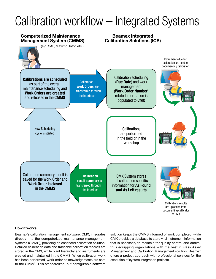# Calibration workflow – Integrated Systems



#### How it works

Beamex's calibration management software, CMX, integrates directly into the computerized maintenance management systems (CMMS), providing an enhanced calibration solution. Detailed calibration data and traceable calibration records are stored in the CMX, while plant hierarchy and instruments are created and maintained in the CMMS. When calibration work has been performed, work order acknowledgements are sent to the CMMS. This standardized, but configurable software

solution keeps the CMMS informed of work completed, while CMX provides a database to store vital instrument information that is necessary to maintain for quality control and auditsthus equipping organizations with the best in class Asset Management and Calibration Management solution. Beamex offers a project approach with professional services for the execution of system integration projects.